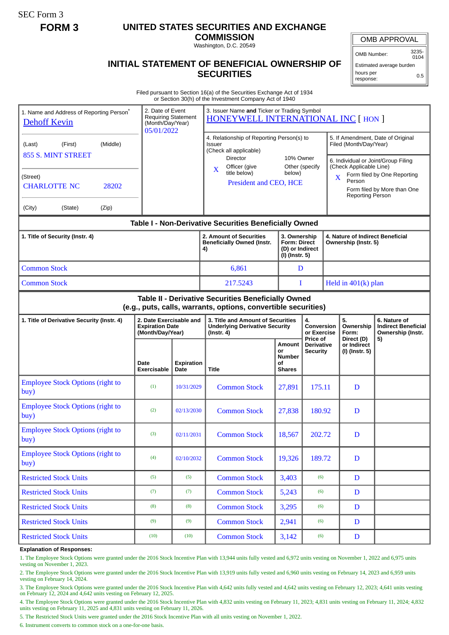SEC Form 3

## **FORM 3 UNITED STATES SECURITIES AND EXCHANGE**

**COMMISSION** Washington, D.C. 20549

OMB APPROVAL

OMB Number: 3235-  $0104$ 

Estimated average burden hours per response: 0.5

## **INITIAL STATEMENT OF BENEFICIAL OWNERSHIP OF SECURITIES**

Filed pursuant to Section 16(a) of the Securities Exchange Act of 1934 or Section 30(h) of the Investment Company Act of 1940

| 1. Name and Address of Reporting Person <sup>®</sup><br><b>Dehoff Kevin</b> | 2. Date of Event<br>(Month/Day/Year)<br>05/01/2022                    | <b>Requiring Statement</b> | 3. Issuer Name and Ticker or Trading Symbol<br>HONEYWELL INTERNATIONAL INC [ HON ]                                                                                                                               |                                                                          |                                                    |                                                                                                                                                                             |                                                                       |
|-----------------------------------------------------------------------------|-----------------------------------------------------------------------|----------------------------|------------------------------------------------------------------------------------------------------------------------------------------------------------------------------------------------------------------|--------------------------------------------------------------------------|----------------------------------------------------|-----------------------------------------------------------------------------------------------------------------------------------------------------------------------------|-----------------------------------------------------------------------|
| (Middle)<br>(First)<br>(Last)<br>855 S. MINT STREET<br>(Street)             |                                                                       |                            | 4. Relationship of Reporting Person(s) to<br><b>Issuer</b><br>(Check all applicable)<br><b>Director</b><br>10% Owner<br>Officer (give<br>Other (specify<br>X<br>title below)<br>below)<br>President and CEO, HCE |                                                                          |                                                    | 5. If Amendment, Date of Original<br>Filed (Month/Day/Year)<br>6. Individual or Joint/Group Filing<br>(Check Applicable Line)<br>Form filed by One Reporting<br>X<br>Person |                                                                       |
| 28202<br><b>CHARLOTTE NC</b><br>(City)<br>(State)<br>(Zip)                  |                                                                       |                            |                                                                                                                                                                                                                  |                                                                          |                                                    | <b>Reporting Person</b>                                                                                                                                                     | Form filed by More than One                                           |
| Table I - Non-Derivative Securities Beneficially Owned                      |                                                                       |                            |                                                                                                                                                                                                                  |                                                                          |                                                    |                                                                                                                                                                             |                                                                       |
| 1. Title of Security (Instr. 4)                                             |                                                                       |                            | 2. Amount of Securities<br><b>Beneficially Owned (Instr.</b><br>4)                                                                                                                                               | 3. Ownership<br><b>Form: Direct</b><br>(D) or Indirect<br>(I) (Instr. 5) |                                                    | 4. Nature of Indirect Beneficial<br>Ownership (Instr. 5)                                                                                                                    |                                                                       |
| <b>Common Stock</b>                                                         |                                                                       |                            | 6,861                                                                                                                                                                                                            | D                                                                        |                                                    |                                                                                                                                                                             |                                                                       |
| <b>Common Stock</b>                                                         |                                                                       |                            | 217.5243                                                                                                                                                                                                         |                                                                          | Held in $401(k)$ plan<br>I                         |                                                                                                                                                                             |                                                                       |
|                                                                             |                                                                       |                            | Table II - Derivative Securities Beneficially Owned<br>(e.g., puts, calls, warrants, options, convertible securities)                                                                                            |                                                                          |                                                    |                                                                                                                                                                             |                                                                       |
| 1. Title of Derivative Security (Instr. 4)                                  | 2. Date Exercisable and<br><b>Expiration Date</b><br>(Month/Day/Year) |                            | 3. Title and Amount of Securities<br><b>Underlying Derivative Security</b><br>(Instr. 4)                                                                                                                         |                                                                          | 4.<br><b>Conversion</b><br>or Exercise<br>Price of | 5.<br>Ownership<br>Form:<br>Direct (D)                                                                                                                                      | 6. Nature of<br><b>Indirect Beneficial</b><br>Ownership (Instr.<br>5) |
|                                                                             | Date<br>Exercisable                                                   | Expiration<br>Date         | Title                                                                                                                                                                                                            | Amount<br>or<br><b>Number</b><br>οf<br><b>Shares</b>                     | Derivative<br><b>Security</b>                      | or Indirect<br>(I) (Instr. 5)                                                                                                                                               |                                                                       |
| <b>Employee Stock Options (right to</b><br>buy)                             | (1)                                                                   | 10/31/2029                 | <b>Common Stock</b>                                                                                                                                                                                              | 27,891                                                                   | 175.11                                             | D                                                                                                                                                                           |                                                                       |
| <b>Employee Stock Options (right to</b><br>buy)                             | (2)                                                                   | 02/13/2030                 | <b>Common Stock</b>                                                                                                                                                                                              | 27,838                                                                   | 180.92                                             | D                                                                                                                                                                           |                                                                       |
| <b>Employee Stock Options (right to</b><br>buy)                             | (3)                                                                   | 02/11/2031                 | <b>Common Stock</b>                                                                                                                                                                                              | 18,567                                                                   | 202.72                                             | D                                                                                                                                                                           |                                                                       |
| <b>Employee Stock Options (right to</b><br>buy)                             | (4)                                                                   | 02/10/2032                 | <b>Common Stock</b>                                                                                                                                                                                              | 19,326                                                                   | 189.72                                             | D                                                                                                                                                                           |                                                                       |
| <b>Restricted Stock Units</b>                                               | (5)                                                                   | (5)                        | <b>Common Stock</b>                                                                                                                                                                                              | 3,403                                                                    | (6)                                                | D                                                                                                                                                                           |                                                                       |
| <b>Restricted Stock Units</b>                                               | (7)                                                                   | (7)                        | <b>Common Stock</b>                                                                                                                                                                                              | 5,243                                                                    | (6)                                                | D                                                                                                                                                                           |                                                                       |
| <b>Restricted Stock Units</b>                                               | (8)                                                                   | (8)                        | <b>Common Stock</b>                                                                                                                                                                                              | 3,295                                                                    | (6)                                                | $\mathbf D$                                                                                                                                                                 |                                                                       |
| <b>Restricted Stock Units</b>                                               | (9)                                                                   | (9)                        | <b>Common Stock</b>                                                                                                                                                                                              | 2,941                                                                    | (6)                                                | $\mathbf D$                                                                                                                                                                 |                                                                       |
| <b>Restricted Stock Units</b>                                               | (10)                                                                  | (10)                       | <b>Common Stock</b>                                                                                                                                                                                              | 3,142                                                                    | (6)                                                | $\mathbf D$                                                                                                                                                                 |                                                                       |

## **Explanation of Responses:**

1. The Employee Stock Options were granted under the 2016 Stock Incentive Plan with 13,944 units fully vested and 6,972 units vesting on November 1, 2022 and 6,975 units vesting on November 1, 2023.

2. The Employee Stock Options were granted under the 2016 Stock Incentive Plan with 13,919 units fully vested and 6,960 units vesting on February 14, 2023 and 6,959 units vesting on February 14, 2024.

3. The Employee Stock Options were granted under the 2016 Stock Incentive Plan with 4,642 units fully vested and 4,642 units vesting on February 12, 2023; 4,641 units vesting on February 12, 2024 and 4,642 units vesting on February 12, 2025.

4. The Employee Stock Options were granted under the 2016 Stock Incentive Plan with 4,832 units vesting on February 11, 2023; 4,831 units vesting on February 11, 2024; 4,832 units vesting on February 11, 2025 and 4,831 units vesting on February 11, 2026.

5. The Restricted Stock Units were granted under the 2016 Stock Incentive Plan with all units vesting on November 1, 2022.

6. Instrument converts to common stock on a one-for-one basis.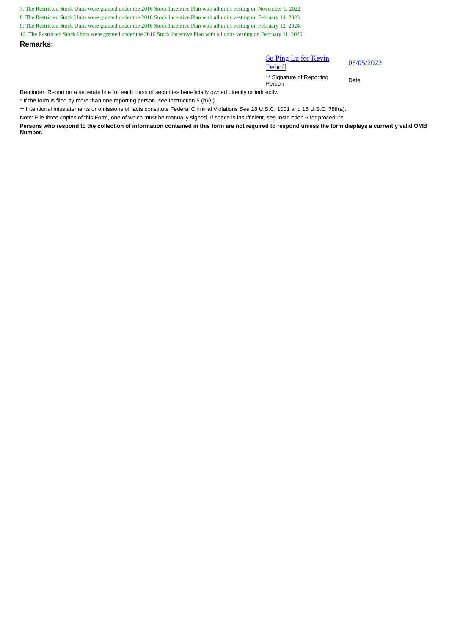7. The Restricted Stock Units were granted under the 2016 Stock Incentive Plan with all units vesting on November 1, 2022.

8. The Restricted Stock Units were granted under the 2016 Stock Incentive Plan with all units vesting on February 14, 2023.

9. The Restricted Stock Units were granted under the 2016 Stock Incentive Plan with all units vesting on February 12, 2024.

10. The Restricted Stock Units were granted under the 2016 Stock Incentive Plan with all units vesting on February 11, 2025.

**Remarks:**

## Su Ping Lu for Kevin

**Dehoff** 

05/05/2022

\*\* Signature of Reporting Person Date

Reminder: Report on a separate line for each class of securities beneficially owned directly or indirectly.

\* If the form is filed by more than one reporting person, *see* Instruction 5 (b)(v).

\*\* Intentional misstatements or omissions of facts constitute Federal Criminal Violations *See* 18 U.S.C. 1001 and 15 U.S.C. 78ff(a).

Note: File three copies of this Form, one of which must be manually signed. If space is insufficient, *see* Instruction 6 for procedure.

**Persons who respond to the collection of information contained in this form are not required to respond unless the form displays a currently valid OMB Number.**